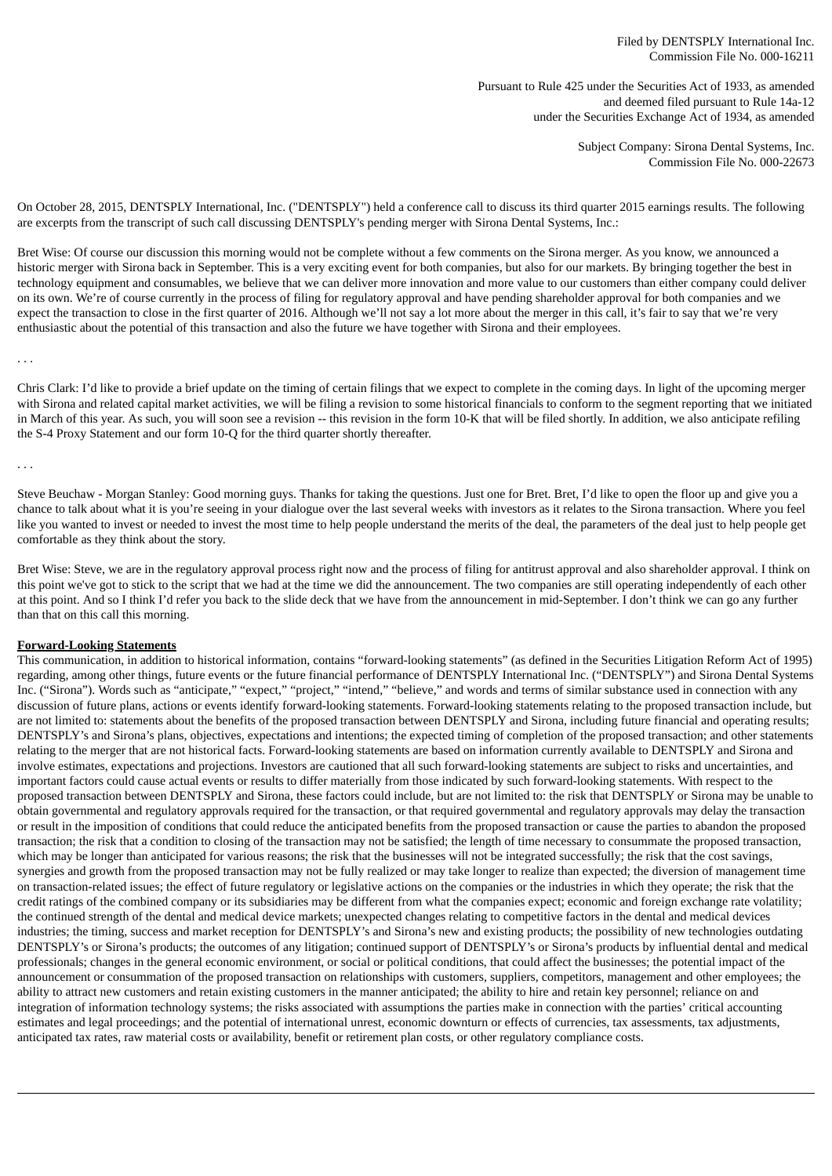Pursuant to Rule 425 under the Securities Act of 1933, as amended and deemed filed pursuant to Rule 14a-12 under the Securities Exchange Act of 1934, as amended

> Subject Company: Sirona Dental Systems, Inc. Commission File No. 000-22673

On October 28, 2015, DENTSPLY International, Inc. ("DENTSPLY") held a conference call to discuss its third quarter 2015 earnings results. The following are excerpts from the transcript of such call discussing DENTSPLY's pending merger with Sirona Dental Systems, Inc.:

Bret Wise: Of course our discussion this morning would not be complete without a few comments on the Sirona merger. As you know, we announced a historic merger with Sirona back in September. This is a very exciting event for both companies, but also for our markets. By bringing together the best in technology equipment and consumables, we believe that we can deliver more innovation and more value to our customers than either company could deliver on its own. We're of course currently in the process of filing for regulatory approval and have pending shareholder approval for both companies and we expect the transaction to close in the first quarter of 2016. Although we'll not say a lot more about the merger in this call, it's fair to say that we're very enthusiastic about the potential of this transaction and also the future we have together with Sirona and their employees.

. . .

Chris Clark: I'd like to provide a brief update on the timing of certain filings that we expect to complete in the coming days. In light of the upcoming merger with Sirona and related capital market activities, we will be filing a revision to some historical financials to conform to the segment reporting that we initiated in March of this year. As such, you will soon see a revision -- this revision in the form 10-K that will be filed shortly. In addition, we also anticipate refiling the S-4 Proxy Statement and our form 10-Q for the third quarter shortly thereafter.

. . .

Steve Beuchaw - Morgan Stanley: Good morning guys. Thanks for taking the questions. Just one for Bret. Bret, I'd like to open the floor up and give you a chance to talk about what it is you're seeing in your dialogue over the last several weeks with investors as it relates to the Sirona transaction. Where you feel like you wanted to invest or needed to invest the most time to help people understand the merits of the deal, the parameters of the deal just to help people get comfortable as they think about the story.

Bret Wise: Steve, we are in the regulatory approval process right now and the process of filing for antitrust approval and also shareholder approval. I think on this point we've got to stick to the script that we had at the time we did the announcement. The two companies are still operating independently of each other at this point. And so I think I'd refer you back to the slide deck that we have from the announcement in mid-September. I don't think we can go any further than that on this call this morning.

## **Forward-Looking Statements**

This communication, in addition to historical information, contains "forward-looking statements" (as defined in the Securities Litigation Reform Act of 1995) regarding, among other things, future events or the future financial performance of DENTSPLY International Inc. ("DENTSPLY") and Sirona Dental Systems Inc. ("Sirona"). Words such as "anticipate," "expect," "project," "intend," "believe," and words and terms of similar substance used in connection with any discussion of future plans, actions or events identify forward-looking statements. Forward-looking statements relating to the proposed transaction include, but are not limited to: statements about the benefits of the proposed transaction between DENTSPLY and Sirona, including future financial and operating results; DENTSPLY's and Sirona's plans, objectives, expectations and intentions; the expected timing of completion of the proposed transaction; and other statements relating to the merger that are not historical facts. Forward-looking statements are based on information currently available to DENTSPLY and Sirona and involve estimates, expectations and projections. Investors are cautioned that all such forward-looking statements are subject to risks and uncertainties, and important factors could cause actual events or results to differ materially from those indicated by such forward-looking statements. With respect to the proposed transaction between DENTSPLY and Sirona, these factors could include, but are not limited to: the risk that DENTSPLY or Sirona may be unable to obtain governmental and regulatory approvals required for the transaction, or that required governmental and regulatory approvals may delay the transaction or result in the imposition of conditions that could reduce the anticipated benefits from the proposed transaction or cause the parties to abandon the proposed transaction; the risk that a condition to closing of the transaction may not be satisfied; the length of time necessary to consummate the proposed transaction, which may be longer than anticipated for various reasons; the risk that the businesses will not be integrated successfully; the risk that the cost savings, synergies and growth from the proposed transaction may not be fully realized or may take longer to realize than expected; the diversion of management time on transaction-related issues; the effect of future regulatory or legislative actions on the companies or the industries in which they operate; the risk that the credit ratings of the combined company or its subsidiaries may be different from what the companies expect; economic and foreign exchange rate volatility; the continued strength of the dental and medical device markets; unexpected changes relating to competitive factors in the dental and medical devices industries; the timing, success and market reception for DENTSPLY's and Sirona's new and existing products; the possibility of new technologies outdating DENTSPLY's or Sirona's products; the outcomes of any litigation; continued support of DENTSPLY's or Sirona's products by influential dental and medical professionals; changes in the general economic environment, or social or political conditions, that could affect the businesses; the potential impact of the announcement or consummation of the proposed transaction on relationships with customers, suppliers, competitors, management and other employees; the ability to attract new customers and retain existing customers in the manner anticipated; the ability to hire and retain key personnel; reliance on and integration of information technology systems; the risks associated with assumptions the parties make in connection with the parties' critical accounting estimates and legal proceedings; and the potential of international unrest, economic downturn or effects of currencies, tax assessments, tax adjustments, anticipated tax rates, raw material costs or availability, benefit or retirement plan costs, or other regulatory compliance costs.